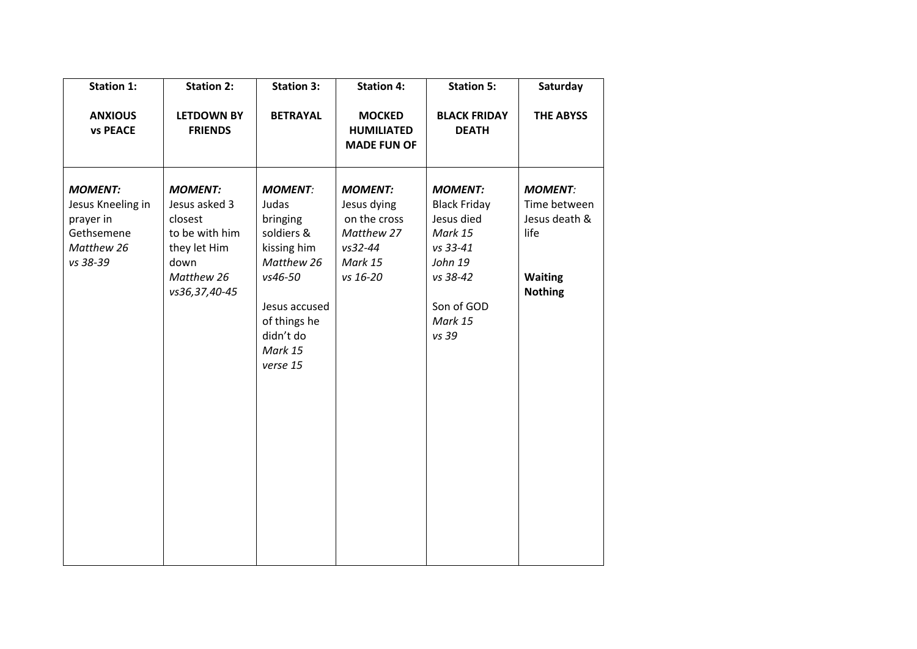| <b>Station 1:</b>                                                                        | <b>Station 2:</b>                                                                                                   | <b>Station 3:</b>                                                                                                                                              | <b>Station 4:</b>                                                                             | <b>Station 5:</b>                                                                                                                   | Saturday                                                                                    |
|------------------------------------------------------------------------------------------|---------------------------------------------------------------------------------------------------------------------|----------------------------------------------------------------------------------------------------------------------------------------------------------------|-----------------------------------------------------------------------------------------------|-------------------------------------------------------------------------------------------------------------------------------------|---------------------------------------------------------------------------------------------|
| <b>ANXIOUS</b><br><b>vs PEACE</b>                                                        | <b>LETDOWN BY</b><br><b>FRIENDS</b>                                                                                 | <b>BETRAYAL</b>                                                                                                                                                | <b>MOCKED</b><br><b>HUMILIATED</b><br><b>MADE FUN OF</b>                                      | <b>BLACK FRIDAY</b><br><b>DEATH</b>                                                                                                 | <b>THE ABYSS</b>                                                                            |
| <b>MOMENT:</b><br>Jesus Kneeling in<br>prayer in<br>Gethsemene<br>Matthew 26<br>vs 38-39 | <b>MOMENT:</b><br>Jesus asked 3<br>closest<br>to be with him<br>they let Him<br>down<br>Matthew 26<br>vs36,37,40-45 | <b>MOMENT:</b><br>Judas<br>bringing<br>soldiers &<br>kissing him<br>Matthew 26<br>vs46-50<br>Jesus accused<br>of things he<br>didn't do<br>Mark 15<br>verse 15 | <b>MOMENT:</b><br>Jesus dying<br>on the cross<br>Matthew 27<br>vs32-44<br>Mark 15<br>vs 16-20 | <b>MOMENT:</b><br><b>Black Friday</b><br>Jesus died<br>Mark 15<br>vs 33-41<br>John 19<br>vs 38-42<br>Son of GOD<br>Mark 15<br>vs 39 | <b>MOMENT:</b><br>Time between<br>Jesus death &<br>life<br><b>Waiting</b><br><b>Nothing</b> |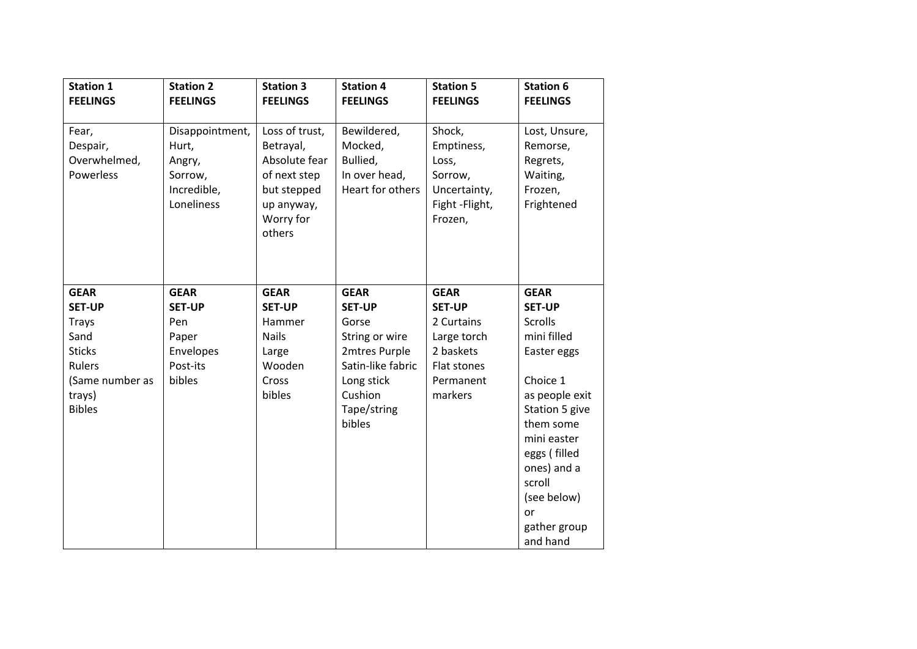| <b>Station 1</b>                               | <b>Station 2</b>                                                           | <b>Station 3</b>                                                                                                 | <b>Station 4</b>                                                        | <b>Station 5</b>                                                                      | <b>Station 6</b>                                                           |
|------------------------------------------------|----------------------------------------------------------------------------|------------------------------------------------------------------------------------------------------------------|-------------------------------------------------------------------------|---------------------------------------------------------------------------------------|----------------------------------------------------------------------------|
| <b>FEELINGS</b>                                | <b>FEELINGS</b>                                                            | <b>FEELINGS</b>                                                                                                  | <b>FEELINGS</b>                                                         | <b>FEELINGS</b>                                                                       | <b>FEELINGS</b>                                                            |
| Fear,<br>Despair,<br>Overwhelmed,<br>Powerless | Disappointment,<br>Hurt,<br>Angry,<br>Sorrow,<br>Incredible,<br>Loneliness | Loss of trust,<br>Betrayal,<br>Absolute fear<br>of next step<br>but stepped<br>up anyway,<br>Worry for<br>others | Bewildered,<br>Mocked,<br>Bullied,<br>In over head,<br>Heart for others | Shock,<br>Emptiness,<br>Loss,<br>Sorrow,<br>Uncertainty,<br>Fight -Flight,<br>Frozen, | Lost, Unsure,<br>Remorse,<br>Regrets,<br>Waiting,<br>Frozen,<br>Frightened |
| <b>GEAR</b>                                    | <b>GEAR</b>                                                                | <b>GEAR</b>                                                                                                      | <b>GEAR</b>                                                             | <b>GEAR</b>                                                                           | <b>GEAR</b>                                                                |
| <b>SET-UP</b>                                  | <b>SET-UP</b>                                                              | <b>SET-UP</b>                                                                                                    | <b>SET-UP</b>                                                           | <b>SET-UP</b>                                                                         | <b>SET-UP</b>                                                              |
| <b>Trays</b>                                   | Pen                                                                        | Hammer                                                                                                           | Gorse                                                                   | 2 Curtains                                                                            | Scrolls                                                                    |
| Sand                                           | Paper                                                                      | <b>Nails</b>                                                                                                     | String or wire                                                          | Large torch                                                                           | mini filled                                                                |
| <b>Sticks</b>                                  | Envelopes                                                                  | Large                                                                                                            | 2mtres Purple                                                           | 2 baskets                                                                             | Easter eggs                                                                |
| Rulers                                         | Post-its                                                                   | Wooden                                                                                                           | Satin-like fabric                                                       | Flat stones                                                                           |                                                                            |
| (Same number as                                | bibles                                                                     | Cross                                                                                                            | Long stick                                                              | Permanent                                                                             | Choice 1                                                                   |
| trays)                                         |                                                                            | bibles                                                                                                           | Cushion                                                                 | markers                                                                               | as people exit                                                             |
| <b>Bibles</b>                                  |                                                                            |                                                                                                                  | Tape/string                                                             |                                                                                       | Station 5 give                                                             |
|                                                |                                                                            |                                                                                                                  | bibles                                                                  |                                                                                       | them some                                                                  |
|                                                |                                                                            |                                                                                                                  |                                                                         |                                                                                       | mini easter                                                                |
|                                                |                                                                            |                                                                                                                  |                                                                         |                                                                                       | eggs (filled                                                               |
|                                                |                                                                            |                                                                                                                  |                                                                         |                                                                                       | ones) and a                                                                |
|                                                |                                                                            |                                                                                                                  |                                                                         |                                                                                       | scroll                                                                     |
|                                                |                                                                            |                                                                                                                  |                                                                         |                                                                                       | (see below)                                                                |
|                                                |                                                                            |                                                                                                                  |                                                                         |                                                                                       | or                                                                         |
|                                                |                                                                            |                                                                                                                  |                                                                         |                                                                                       | gather group                                                               |
|                                                |                                                                            |                                                                                                                  |                                                                         |                                                                                       | and hand                                                                   |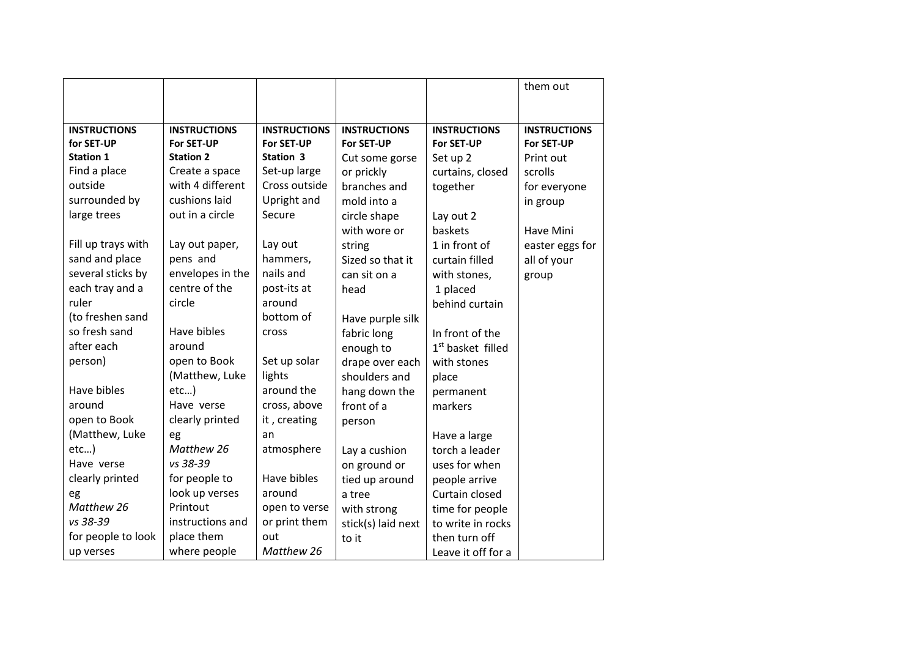|                                   |                                   |                                   |                                   |                                   | them out                          |
|-----------------------------------|-----------------------------------|-----------------------------------|-----------------------------------|-----------------------------------|-----------------------------------|
|                                   |                                   |                                   |                                   |                                   |                                   |
|                                   |                                   |                                   |                                   |                                   |                                   |
| <b>INSTRUCTIONS</b><br>for SET-UP | <b>INSTRUCTIONS</b><br>For SET-UP | <b>INSTRUCTIONS</b><br>For SET-UP | <b>INSTRUCTIONS</b><br>For SET-UP | <b>INSTRUCTIONS</b><br>For SET-UP | <b>INSTRUCTIONS</b><br>For SET-UP |
| <b>Station 1</b>                  | <b>Station 2</b>                  | Station 3                         | Cut some gorse                    | Set up 2                          | Print out                         |
| Find a place                      | Create a space                    | Set-up large                      |                                   |                                   | scrolls                           |
| outside                           | with 4 different                  | Cross outside                     | or prickly<br>branches and        | curtains, closed                  |                                   |
|                                   | cushions laid                     |                                   |                                   | together                          | for everyone                      |
| surrounded by                     |                                   | Upright and                       | mold into a                       |                                   | in group                          |
| large trees                       | out in a circle                   | Secure                            | circle shape                      | Lay out 2                         |                                   |
|                                   |                                   |                                   | with wore or                      | baskets                           | Have Mini                         |
| Fill up trays with                | Lay out paper,                    | Lay out                           | string                            | 1 in front of                     | easter eggs for                   |
| sand and place                    | pens and                          | hammers,                          | Sized so that it                  | curtain filled                    | all of your                       |
| several sticks by                 | envelopes in the                  | nails and                         | can sit on a                      | with stones,                      | group                             |
| each tray and a                   | centre of the                     | post-its at                       | head                              | 1 placed                          |                                   |
| ruler                             | circle                            | around                            |                                   | behind curtain                    |                                   |
| (to freshen sand                  |                                   | bottom of                         | Have purple silk                  |                                   |                                   |
| so fresh sand                     | Have bibles                       | cross                             | fabric long                       | In front of the                   |                                   |
| after each                        | around                            |                                   | enough to                         | 1 <sup>st</sup> basket filled     |                                   |
| person)                           | open to Book                      | Set up solar                      | drape over each                   | with stones                       |                                   |
|                                   | (Matthew, Luke                    | lights                            | shoulders and                     | place                             |                                   |
| Have bibles                       | etc                               | around the                        | hang down the                     | permanent                         |                                   |
| around                            | Have verse                        | cross, above                      | front of a                        | markers                           |                                   |
| open to Book                      | clearly printed                   | it, creating                      | person                            |                                   |                                   |
| (Matthew, Luke                    | eg                                | an                                |                                   | Have a large                      |                                   |
| etc)                              | Matthew 26                        | atmosphere                        | Lay a cushion                     | torch a leader                    |                                   |
| Have verse                        | vs 38-39                          |                                   | on ground or                      | uses for when                     |                                   |
| clearly printed                   | for people to                     | Have bibles                       | tied up around                    | people arrive                     |                                   |
| eg                                | look up verses                    | around                            | a tree                            | Curtain closed                    |                                   |
| Matthew 26                        | Printout                          | open to verse                     | with strong                       | time for people                   |                                   |
| vs 38-39                          | instructions and                  | or print them                     | stick(s) laid next                | to write in rocks                 |                                   |
| for people to look                | place them                        | out                               | to it                             | then turn off                     |                                   |
| up verses                         | where people                      | Matthew 26                        |                                   | Leave it off for a                |                                   |